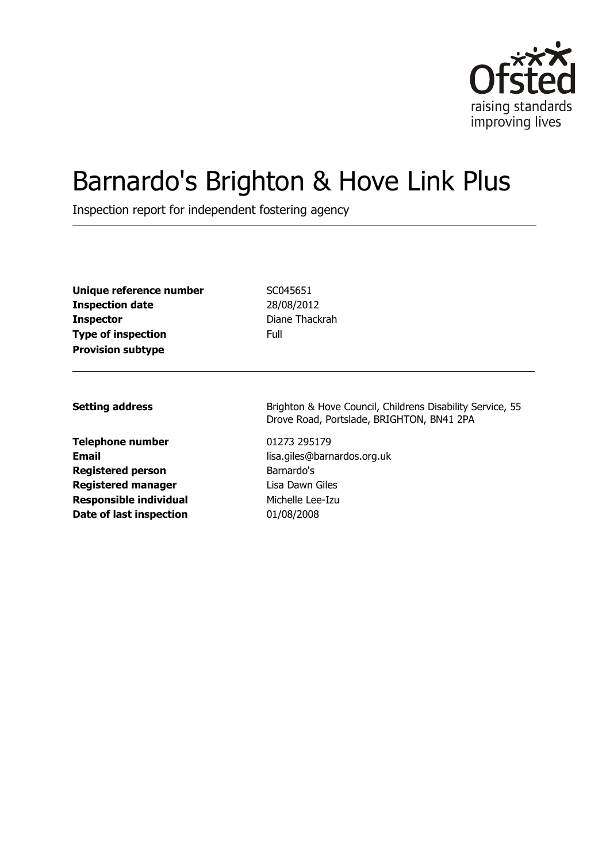

# Barnardo's Brighton & Hove Link Plus

Inspection report for independent fostering agency

| Unique reference number   | SCC. |
|---------------------------|------|
| <b>Inspection date</b>    | 28/  |
| <b>Inspector</b>          | Dia  |
| <b>Type of inspection</b> | Full |
| <b>Provision subtype</b>  |      |

**Unique reference number** SC045651 **Inspection date** 28/08/2012 **Diane Thackrah** 

**Telephone number** 01273 295179 **Registered person** Barnardo's **Registered manager** Lisa Dawn Giles **Responsible individual** Michelle Lee-Izu **Date of last inspection** 01/08/2008

**Setting address** Brighton & Hove Council, Childrens Disability Service, 55 Drove Road, Portslade, BRIGHTON, BN41 2PA

**Email** lisa.giles@barnardos.org.uk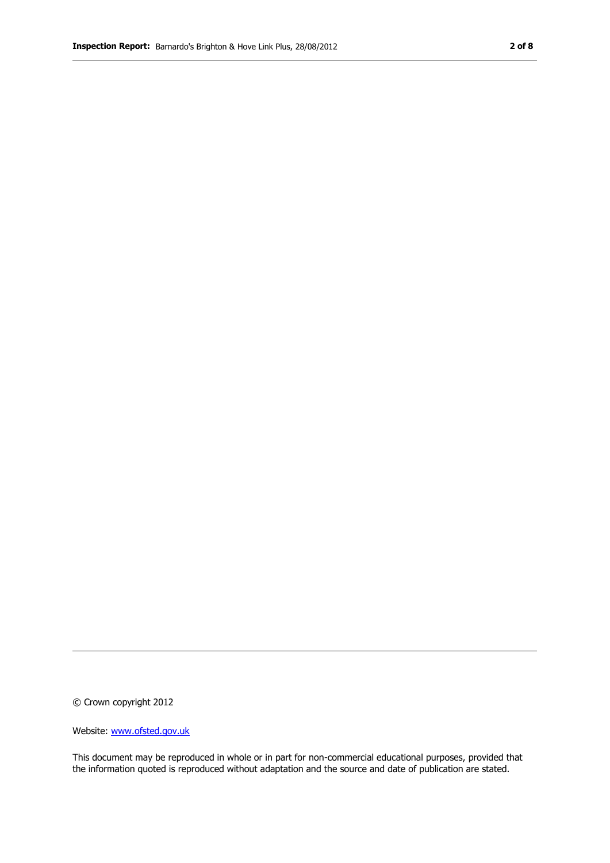© Crown copyright 2012

Website: www.ofsted.gov.uk

This document may be reproduced in whole or in part for non-commercial educational purposes, provided that the information quoted is reproduced without adaptation and the source and date of publication are stated.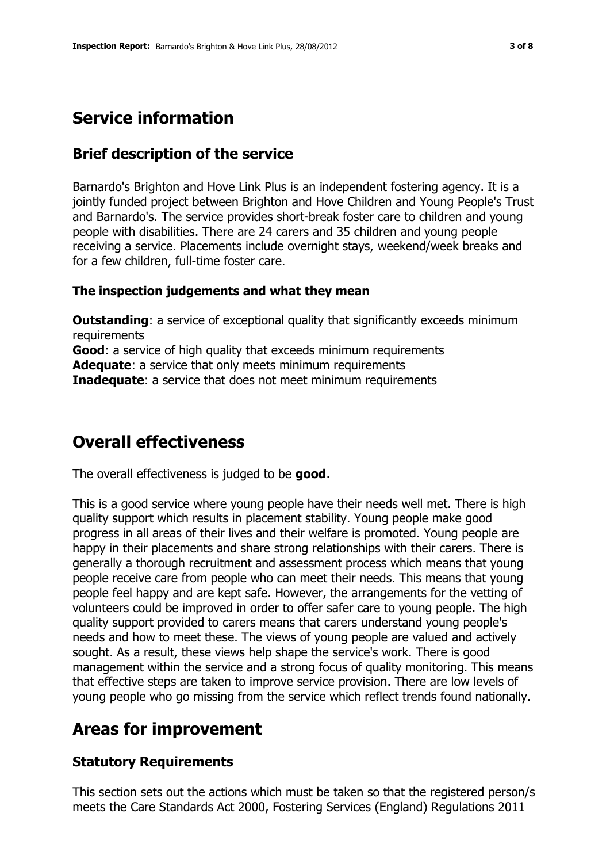# **Service information**

## **Brief description of the service**

Barnardo's Brighton and Hove Link Plus is an independent fostering agency. It is a jointly funded project between Brighton and Hove Children and Young People's Trust and Barnardo's. The service provides short-break foster care to children and young people with disabilities. There are 24 carers and 35 children and young people receiving a service. Placements include overnight stays, weekend/week breaks and for a few children, full-time foster care.

#### **The inspection judgements and what they mean**

**Outstanding:** a service of exceptional quality that significantly exceeds minimum requirements **Good**: a service of high quality that exceeds minimum requirements **Adequate**: a service that only meets minimum requirements **Inadequate:** a service that does not meet minimum requirements

# **Overall effectiveness**

The overall effectiveness is judged to be **good**.

This is a good service where young people have their needs well met. There is high quality support which results in placement stability. Young people make good progress in all areas of their lives and their welfare is promoted. Young people are happy in their placements and share strong relationships with their carers. There is generally a thorough recruitment and assessment process which means that young people receive care from people who can meet their needs. This means that young people feel happy and are kept safe. However, the arrangements for the vetting of volunteers could be improved in order to offer safer care to young people. The high quality support provided to carers means that carers understand young people's needs and how to meet these. The views of young people are valued and actively sought. As a result, these views help shape the service's work. There is good management within the service and a strong focus of quality monitoring. This means that effective steps are taken to improve service provision. There are low levels of young people who go missing from the service which reflect trends found nationally.

# **Areas for improvement**

#### **Statutory Requirements**

This section sets out the actions which must be taken so that the registered person/s meets the Care Standards Act 2000, Fostering Services (England) Regulations 2011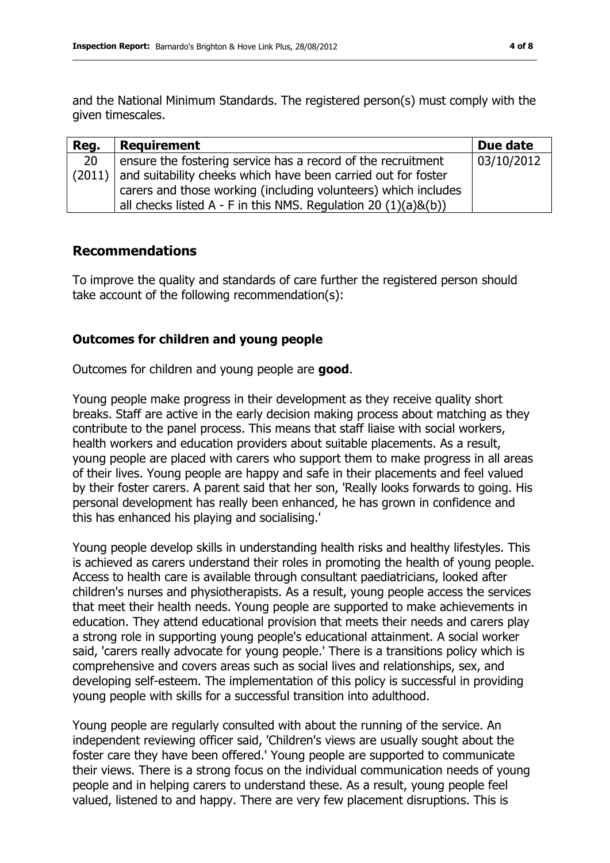and the National Minimum Standards. The registered person(s) must comply with the given timescales.

| Reg. | <b>Requirement</b>                                                     | Due date   |
|------|------------------------------------------------------------------------|------------|
| 20   | ensure the fostering service has a record of the recruitment           | 03/10/2012 |
|      | $(2011)$ and suitability cheeks which have been carried out for foster |            |
|      | carers and those working (including volunteers) which includes         |            |
|      | all checks listed A - F in this NMS. Regulation 20 $(1)(a)\&(b))$      |            |

## **Recommendations**

To improve the quality and standards of care further the registered person should take account of the following recommendation(s):

## **Outcomes for children and young people**

Outcomes for children and young people are **good**.

Young people make progress in their development as they receive quality short breaks. Staff are active in the early decision making process about matching as they contribute to the panel process. This means that staff liaise with social workers, health workers and education providers about suitable placements. As a result, young people are placed with carers who support them to make progress in all areas of their lives. Young people are happy and safe in their placements and feel valued by their foster carers. A parent said that her son, 'Really looks forwards to going. His personal development has really been enhanced, he has grown in confidence and this has enhanced his playing and socialising.'

Young people develop skills in understanding health risks and healthy lifestyles. This is achieved as carers understand their roles in promoting the health of young people. Access to health care is available through consultant paediatricians, looked after children's nurses and physiotherapists. As a result, young people access the services that meet their health needs. Young people are supported to make achievements in education. They attend educational provision that meets their needs and carers play a strong role in supporting young people's educational attainment. A social worker said, 'carers really advocate for young people.' There is a transitions policy which is comprehensive and covers areas such as social lives and relationships, sex, and developing self-esteem. The implementation of this policy is successful in providing young people with skills for a successful transition into adulthood.

Young people are regularly consulted with about the running of the service. An independent reviewing officer said, 'Children's views are usually sought about the foster care they have been offered.' Young people are supported to communicate their views. There is a strong focus on the individual communication needs of young people and in helping carers to understand these. As a result, young people feel valued, listened to and happy. There are very few placement disruptions. This is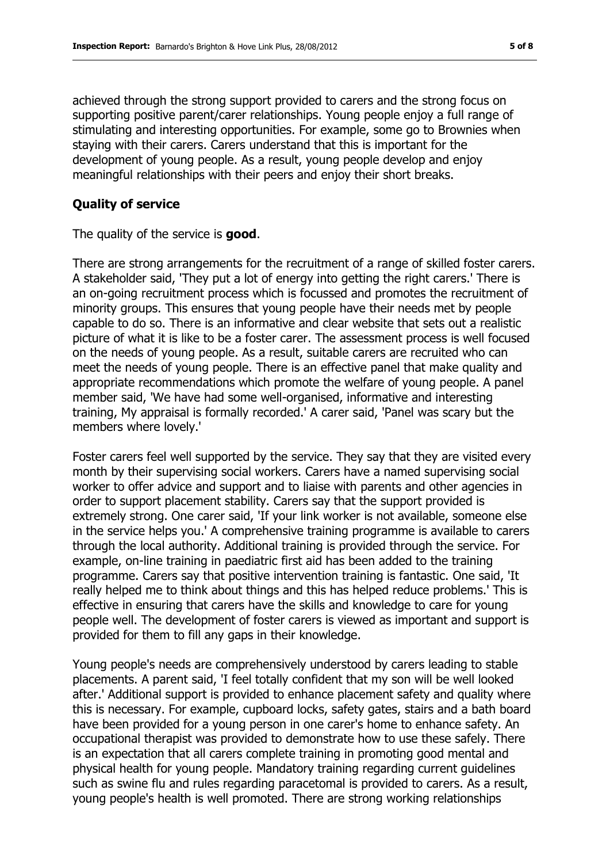achieved through the strong support provided to carers and the strong focus on supporting positive parent/carer relationships. Young people enjoy a full range of stimulating and interesting opportunities. For example, some go to Brownies when staying with their carers. Carers understand that this is important for the development of young people. As a result, young people develop and enjoy meaningful relationships with their peers and enjoy their short breaks.

#### **Quality of service**

The quality of the service is **good**.

There are strong arrangements for the recruitment of a range of skilled foster carers. A stakeholder said, 'They put a lot of energy into getting the right carers.' There is an on-going recruitment process which is focussed and promotes the recruitment of minority groups. This ensures that young people have their needs met by people capable to do so. There is an informative and clear website that sets out a realistic picture of what it is like to be a foster carer. The assessment process is well focused on the needs of young people. As a result, suitable carers are recruited who can meet the needs of young people. There is an effective panel that make quality and appropriate recommendations which promote the welfare of young people. A panel member said, 'We have had some well-organised, informative and interesting training, My appraisal is formally recorded.' A carer said, 'Panel was scary but the members where lovely.'

Foster carers feel well supported by the service. They say that they are visited every month by their supervising social workers. Carers have a named supervising social worker to offer advice and support and to liaise with parents and other agencies in order to support placement stability. Carers say that the support provided is extremely strong. One carer said, 'If your link worker is not available, someone else in the service helps you.' A comprehensive training programme is available to carers through the local authority. Additional training is provided through the service. For example, on-line training in paediatric first aid has been added to the training programme. Carers say that positive intervention training is fantastic. One said, 'It really helped me to think about things and this has helped reduce problems.' This is effective in ensuring that carers have the skills and knowledge to care for young people well. The development of foster carers is viewed as important and support is provided for them to fill any gaps in their knowledge.

Young people's needs are comprehensively understood by carers leading to stable placements. A parent said, 'I feel totally confident that my son will be well looked after.' Additional support is provided to enhance placement safety and quality where this is necessary. For example, cupboard locks, safety gates, stairs and a bath board have been provided for a young person in one carer's home to enhance safety. An occupational therapist was provided to demonstrate how to use these safely. There is an expectation that all carers complete training in promoting good mental and physical health for young people. Mandatory training regarding current guidelines such as swine flu and rules regarding paracetomal is provided to carers. As a result, young people's health is well promoted. There are strong working relationships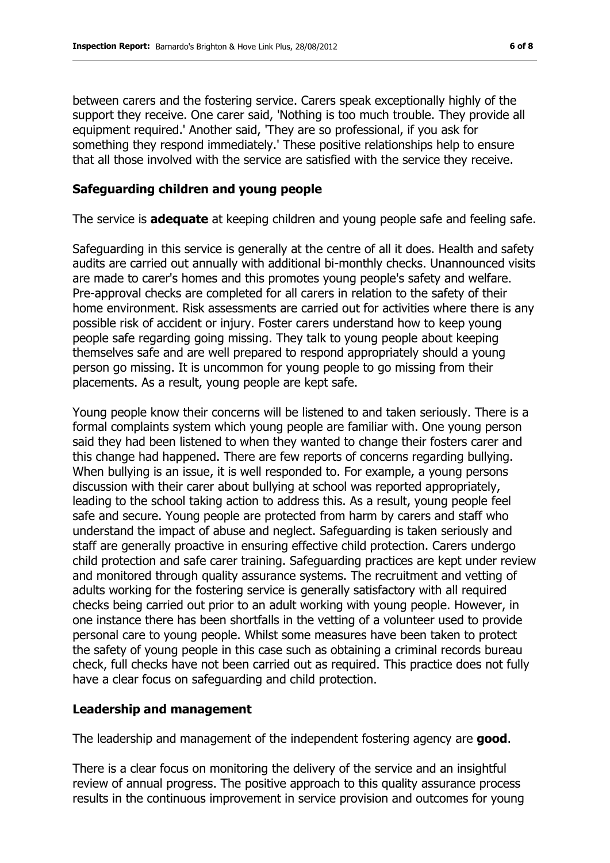between carers and the fostering service. Carers speak exceptionally highly of the support they receive. One carer said, 'Nothing is too much trouble. They provide all equipment required.' Another said, 'They are so professional, if you ask for something they respond immediately.' These positive relationships help to ensure that all those involved with the service are satisfied with the service they receive.

## **Safeguarding children and young people**

The service is **adequate** at keeping children and young people safe and feeling safe.

Safeguarding in this service is generally at the centre of all it does. Health and safety audits are carried out annually with additional bi-monthly checks. Unannounced visits are made to carer's homes and this promotes young people's safety and welfare. Pre-approval checks are completed for all carers in relation to the safety of their home environment. Risk assessments are carried out for activities where there is any possible risk of accident or injury. Foster carers understand how to keep young people safe regarding going missing. They talk to young people about keeping themselves safe and are well prepared to respond appropriately should a young person go missing. It is uncommon for young people to go missing from their placements. As a result, young people are kept safe.

Young people know their concerns will be listened to and taken seriously. There is a formal complaints system which young people are familiar with. One young person said they had been listened to when they wanted to change their fosters carer and this change had happened. There are few reports of concerns regarding bullying. When bullying is an issue, it is well responded to. For example, a young persons discussion with their carer about bullying at school was reported appropriately, leading to the school taking action to address this. As a result, young people feel safe and secure. Young people are protected from harm by carers and staff who understand the impact of abuse and neglect. Safeguarding is taken seriously and staff are generally proactive in ensuring effective child protection. Carers undergo child protection and safe carer training. Safeguarding practices are kept under review and monitored through quality assurance systems. The recruitment and vetting of adults working for the fostering service is generally satisfactory with all required checks being carried out prior to an adult working with young people. However, in one instance there has been shortfalls in the vetting of a volunteer used to provide personal care to young people. Whilst some measures have been taken to protect the safety of young people in this case such as obtaining a criminal records bureau check, full checks have not been carried out as required. This practice does not fully have a clear focus on safeguarding and child protection.

#### **Leadership and management**

The leadership and management of the independent fostering agency are **good**.

There is a clear focus on monitoring the delivery of the service and an insightful review of annual progress. The positive approach to this quality assurance process results in the continuous improvement in service provision and outcomes for young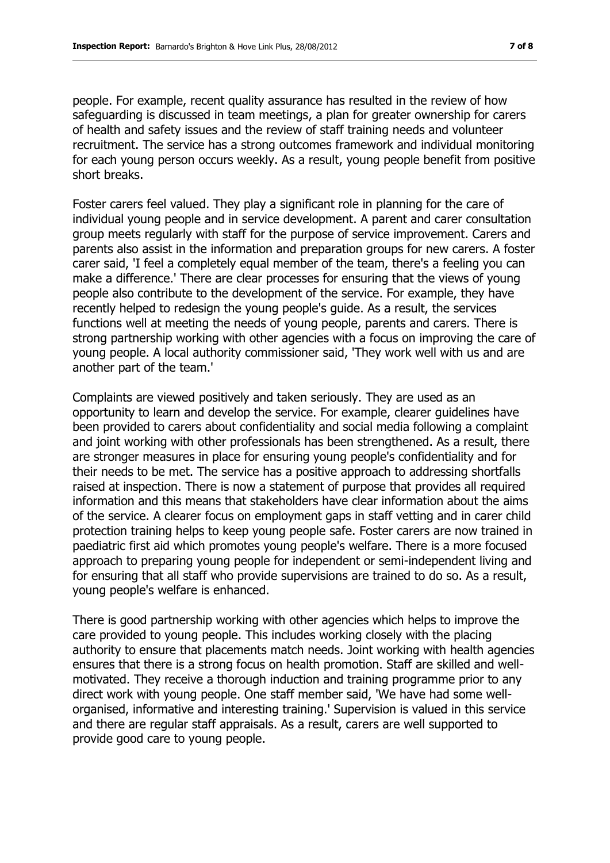people. For example, recent quality assurance has resulted in the review of how safeguarding is discussed in team meetings, a plan for greater ownership for carers of health and safety issues and the review of staff training needs and volunteer recruitment. The service has a strong outcomes framework and individual monitoring for each young person occurs weekly. As a result, young people benefit from positive short breaks.

Foster carers feel valued. They play a significant role in planning for the care of individual young people and in service development. A parent and carer consultation group meets regularly with staff for the purpose of service improvement. Carers and parents also assist in the information and preparation groups for new carers. A foster carer said, 'I feel a completely equal member of the team, there's a feeling you can make a difference.' There are clear processes for ensuring that the views of young people also contribute to the development of the service. For example, they have recently helped to redesign the young people's guide. As a result, the services functions well at meeting the needs of young people, parents and carers. There is strong partnership working with other agencies with a focus on improving the care of young people. A local authority commissioner said, 'They work well with us and are another part of the team.'

Complaints are viewed positively and taken seriously. They are used as an opportunity to learn and develop the service. For example, clearer guidelines have been provided to carers about confidentiality and social media following a complaint and joint working with other professionals has been strengthened. As a result, there are stronger measures in place for ensuring young people's confidentiality and for their needs to be met. The service has a positive approach to addressing shortfalls raised at inspection. There is now a statement of purpose that provides all required information and this means that stakeholders have clear information about the aims of the service. A clearer focus on employment gaps in staff vetting and in carer child protection training helps to keep young people safe. Foster carers are now trained in paediatric first aid which promotes young people's welfare. There is a more focused approach to preparing young people for independent or semi-independent living and for ensuring that all staff who provide supervisions are trained to do so. As a result, young people's welfare is enhanced.

There is good partnership working with other agencies which helps to improve the care provided to young people. This includes working closely with the placing authority to ensure that placements match needs. Joint working with health agencies ensures that there is a strong focus on health promotion. Staff are skilled and wellmotivated. They receive a thorough induction and training programme prior to any direct work with young people. One staff member said, 'We have had some wellorganised, informative and interesting training.' Supervision is valued in this service and there are regular staff appraisals. As a result, carers are well supported to provide good care to young people.